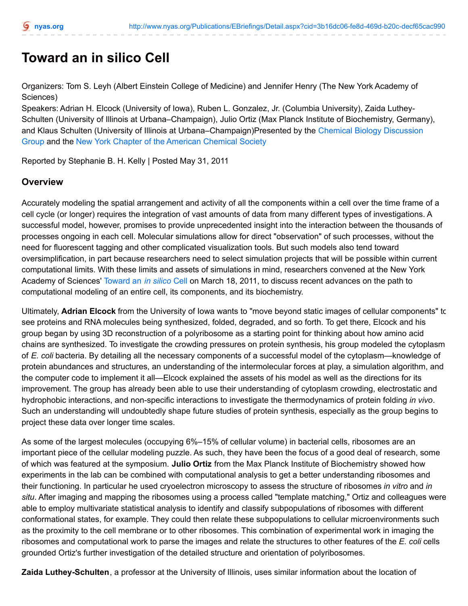## **Toward an in silico Cell**

Organizers: Tom S. Leyh (Albert Einstein College of Medicine) and Jennifer Henry (The New York Academy of Sciences)

Speakers: Adrian H. Elcock (University of Iowa), Ruben L. Gonzalez, Jr. (Columbia University), Zaida Luthey-Schulten (University of Illinois at Urbana–Champaign), Julio Ortiz (Max Planck Institute of Biochemistry, Germany), and Klaus Schulten (University of Illinois at [Urbana–Champaign\)Presented](http://www.nyas.org/whatwedo/fos/chembio.aspx) by the Chemical Biology Discussion Group and the New York Chapter of the [American](http://newyorkacs.org/) Chemical Society

Reported by Stephanie B. H. Kelly | Posted May 31, 2011

## **Overview**

Accurately modeling the spatial arrangement and activity of all the components within a cell over the time frame of a cell cycle (or longer) requires the integration of vast amounts of data from many different types of investigations. A successful model, however, promises to provide unprecedented insight into the interaction between the thousands of processes ongoing in each cell. Molecular simulations allow for direct "observation" of such processes, without the need for fluorescent tagging and other complicated visualization tools. But such models also tend toward oversimplification, in part because researchers need to select simulation projects that will be possible within current computational limits. With these limits and assets of simulations in mind, researchers convened at the New York Academy of Sciences' [Toward](http://www.nyas.org/Events/Detail.aspx?cid=fc480063-bfba-4545-8203-91cca35b6460) an *in silico* Cell on March 18, 2011, to discuss recent advances on the path to computational modeling of an entire cell, its components, and its biochemistry.

Ultimately, **Adrian Elcock** from the University of Iowa wants to "move beyond static images of cellular components" to see proteins and RNA molecules being synthesized, folded, degraded, and so forth. To get there, Elcock and his group began by using 3D reconstruction of a polyribosome as a starting point for thinking about how amino acid chains are synthesized. To investigate the crowding pressures on protein synthesis, his group modeled the cytoplasm of *E. coli* bacteria. By detailing all the necessary components of a successful model of the cytoplasm—knowledge of protein abundances and structures, an understanding of the intermolecular forces at play, a simulation algorithm, and the computer code to implement it all—Elcock explained the assets of his model as well as the directions for its improvement. The group has already been able to use their understanding of cytoplasm crowding, electrostatic and hydrophobic interactions, and non-specific interactions to investigate the thermodynamics of protein folding *in vivo*. Such an understanding will undoubtedly shape future studies of protein synthesis, especially as the group begins to project these data over longer time scales.

As some of the largest molecules (occupying 6%–15% of cellular volume) in bacterial cells, ribosomes are an important piece of the cellular modeling puzzle. As such, they have been the focus of a good deal of research, some of which was featured at the symposium. **Julio Ortiz** from the Max Planck Institute of Biochemistry showed how experiments in the lab can be combined with computational analysis to get a better understanding ribosomes and their functioning. In particular he used cryoelectron microscopy to assess the structure of ribosomes *in vitro* and *in situ*. After imaging and mapping the ribosomes using a process called "template matching," Ortiz and colleagues were able to employ multivariate statistical analysis to identify and classify subpopulations of ribosomes with different conformational states, for example. They could then relate these subpopulations to cellular microenvironments such as the proximity to the cell membrane or to other ribosomes. This combination of experimental work in imaging the ribosomes and computational work to parse the images and relate the structures to other features of the *E. coli* cells grounded Ortiz's further investigation of the detailed structure and orientation of polyribosomes.

**Zaida Luthey-Schulten**, a professor at the University of Illinois, uses similar information about the location of